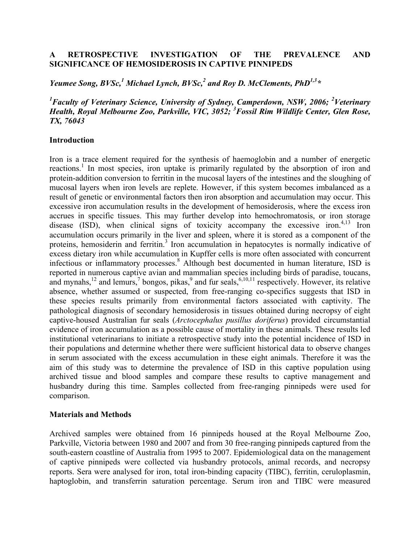## **A RETROSPECTIVE INVESTIGATION OF THE PREVALENCE AND SIGNIFICANCE OF HEMOSIDEROSIS IN CAPTIVE PINNIPEDS**

*Yeumee Song, BVSc, <sup>1</sup> Michael Lynch, BVSc, <sup>2</sup> and Roy D. McClements, PhD1,3\**

<sup>1</sup> Faculty of Veterinary Science, University of Sydney, Camperdown, NSW, 2006; <sup>2</sup>Veterinary *Health, Royal Melbourne Zoo, Parkville, VIC, 3052; <sup>3</sup> Fossil Rim Wildlife Center, Glen Rose, TX, 76043*

#### **Introduction**

Iron is a trace element required for the synthesis of haemoglobin and a number of energetic reactions.<sup>1</sup> In most species, iron uptake is primarily regulated by the absorption of iron and protein-addition conversion to ferritin in the mucosal layers of the intestines and the sloughing of mucosal layers when iron levels are replete. However, if this system becomes imbalanced as a result of genetic or environmental factors then iron absorption and accumulation may occur. This excessive iron accumulation results in the development of hemosiderosis, where the excess iron accrues in specific tissues. This may further develop into hemochromatosis, or iron storage disease  $(ISD)$ , when clinical signs of toxicity accompany the excessive iron.<sup>4,13</sup> Iron accumulation occurs primarily in the liver and spleen, where it is stored as a component of the proteins, hemosiderin and ferritin.<sup>3</sup> Iron accumulation in hepatocytes is normally indicative of excess dietary iron while accumulation in Kupffer cells is more often associated with concurrent infectious or inflammatory processes. <sup>8</sup> Although best documented in human literature, ISD is reported in numerous captive avian and mammalian species including birds of paradise, toucans, and mynahs,<sup>12</sup> and lemurs,<sup>7</sup> bongos, pikas,<sup>9</sup> and fur seals,<sup>6,10,11</sup> respectively. However, its relative absence, whether assumed or suspected, from free-ranging co-specifics suggests that ISD in these species results primarily from environmental factors associated with captivity. The pathological diagnosis of secondary hemosiderosis in tissues obtained during necropsy of eight captive-housed Australian fur seals (*Arctocephalus pusillus doriferus*) provided circumstantial evidence of iron accumulation as a possible cause of mortality in these animals. These results led institutional veterinarians to initiate a retrospective study into the potential incidence of ISD in their populations and determine whether there were sufficient historical data to observe changes in serum associated with the excess accumulation in these eight animals. Therefore it was the aim of this study was to determine the prevalence of ISD in this captive population using archived tissue and blood samples and compare these results to captive management and husbandry during this time. Samples collected from free-ranging pinnipeds were used for comparison.

### **Materials and Methods**

Archived samples were obtained from 16 pinnipeds housed at the Royal Melbourne Zoo, Parkville, Victoria between 1980 and 2007 and from 30 free-ranging pinnipeds captured from the south-eastern coastline of Australia from 1995 to 2007. Epidemiological data on the management of captive pinnipeds were collected via husbandry protocols, animal records, and necropsy reports. Sera were analysed for iron, total iron-binding capacity (TIBC), ferritin, ceruloplasmin, haptoglobin, and transferrin saturation percentage. Serum iron and TIBC were measured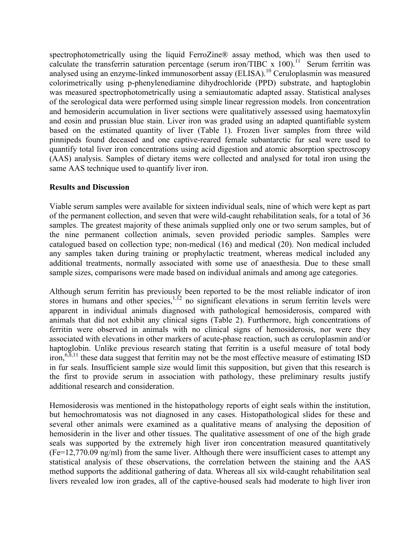spectrophotometrically using the liquid FerroZine® assay method, which was then used to calculate the transferrin saturation percentage (serum iron/TIBC x  $100$ ).<sup>11</sup> Serum ferritin was analysed using an enzyme-linked immunosorbent assay (ELISA). <sup>10</sup> Ceruloplasmin was measured colorimetrically using p-phenylenediamine dihydrochloride (PPD) substrate, and haptoglobin was measured spectrophotometrically using a semiautomatic adapted assay. Statistical analyses of the serological data were performed using simple linear regression models. Iron concentration and hemosiderin accumulation in liver sections were qualitatively assessed using haematoxylin and eosin and prussian blue stain. Liver iron was graded using an adapted quantifiable system based on the estimated quantity of liver (Table 1). Frozen liver samples from three wild pinnipeds found deceased and one captive-reared female subantarctic fur seal were used to quantify total liver iron concentrations using acid digestion and atomic absorption spectroscopy (AAS) analysis. Samples of dietary items were collected and analysed for total iron using the same AAS technique used to quantify liver iron.

## **Results and Discussion**

Viable serum samples were available for sixteen individual seals, nine of which were kept as part of the permanent collection, and seven that were wild-caught rehabilitation seals, for a total of 36 samples. The greatest majority of these animals supplied only one or two serum samples, but of the nine permanent collection animals, seven provided periodic samples. Samples were catalogued based on collection type; non-medical (16) and medical (20). Non medical included any samples taken during training or prophylactic treatment, whereas medical included any additional treatments, normally associated with some use of anaesthesia. Due to these small sample sizes, comparisons were made based on individual animals and among age categories.

Although serum ferritin has previously been reported to be the most reliable indicator of iron stores in humans and other species,  $1,12$  no significant elevations in serum ferritin levels were apparent in individual animals diagnosed with pathological hemosiderosis, compared with animals that did not exhibit any clinical signs (Table 2). Furthermore, high concentrations of ferritin were observed in animals with no clinical signs of hemosiderosis, nor were they associated with elevations in other markers of acute-phase reaction, such as ceruloplasmin and/or haptoglobin. Unlike previous research stating that ferritin is a useful measure of total body iron,  $6,8,11$  these data suggest that ferritin may not be the most effective measure of estimating ISD in fur seals. Insufficient sample size would limit this supposition, but given that this research is the first to provide serum in association with pathology, these preliminary results justify additional research and consideration.

Hemosiderosis was mentioned in the histopathology reports of eight seals within the institution, but hemochromatosis was not diagnosed in any cases. Histopathological slides for these and several other animals were examined as a qualitative means of analysing the deposition of hemosiderin in the liver and other tissues. The qualitative assessment of one of the high grade seals was supported by the extremely high liver iron concentration measured quantitatively (Fe=12,770.09 ng/ml) from the same liver. Although there were insufficient cases to attempt any statistical analysis of these observations, the correlation between the staining and the AAS method supports the additional gathering of data. Whereas all six wild-caught rehabilitation seal livers revealed low iron grades, all of the captive-housed seals had moderate to high liver iron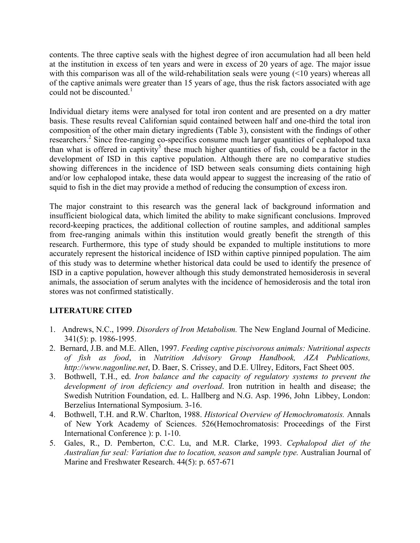contents. The three captive seals with the highest degree of iron accumulation had all been held at the institution in excess of ten years and were in excess of 20 years of age. The major issue with this comparison was all of the wild-rehabilitation seals were young (<10 years) whereas all of the captive animals were greater than 15 years of age, thus the risk factors associated with age could not be discounted. 1

Individual dietary items were analysed for total iron content and are presented on a dry matter basis. These results reveal Californian squid contained between half and one-third the total iron composition of the other main dietary ingredients (Table 3), consistent with the findings of other researchers. <sup>2</sup> Since free-ranging co-specifics consume much larger quantities of cephalopod taxa than what is offered in captivity<sup>5</sup> these much higher quantities of fish, could be a factor in the development of ISD in this captive population. Although there are no comparative studies showing differences in the incidence of ISD between seals consuming diets containing high and/or low cephalopod intake, these data would appear to suggest the increasing of the ratio of squid to fish in the diet may provide a method of reducing the consumption of excess iron.

The major constraint to this research was the general lack of background information and insufficient biological data, which limited the ability to make significant conclusions. Improved record-keeping practices, the additional collection of routine samples, and additional samples from free-ranging animals within this institution would greatly benefit the strength of this research. Furthermore, this type of study should be expanded to multiple institutions to more accurately represent the historical incidence of ISD within captive pinniped population. The aim of this study was to determine whether historical data could be used to identify the presence of ISD in a captive population, however although this study demonstrated hemosiderosis in several animals, the association of serum analytes with the incidence of hemosiderosis and the total iron stores was not confirmed statistically.

# **LITERATURE CITED**

- 1. Andrews, N.C., 1999. *Disorders of Iron Metabolism.* The New England Journal of Medicine. 341(5): p. 1986-1995.
- 2. Bernard, J.B. and M.E. Allen, 1997. *Feeding captive piscivorous animals: Nutritional aspects of fish as food*, in *Nutrition Advisory Group Handbook, AZA Publications, http://www.nagonline.net*, D. Baer, S. Crissey, and D.E. Ullrey, Editors, Fact Sheet 005.
- 3. Bothwell, T.H., ed. *Iron balance and the capacity of regulatory systems to prevent the development of iron deficiency and overload*. Iron nutrition in health and disease; the Swedish Nutrition Foundation, ed. L. Hallberg and N.G. Asp. 1996, John Libbey, London: Berzelius International Symposium. 3-16.
- 4. Bothwell, T.H. and R.W. Charlton, 1988. *Historical Overview of Hemochromatosis.* Annals of New York Academy of Sciences. 526(Hemochromatosis: Proceedings of the First International Conference ): p. 1-10.
- 5. Gales, R., D. Pemberton, C.C. Lu, and M.R. Clarke, 1993. *Cephalopod diet of the Australian fur seal: Variation due to location, season and sample type.* Australian Journal of Marine and Freshwater Research. 44(5): p. 657-671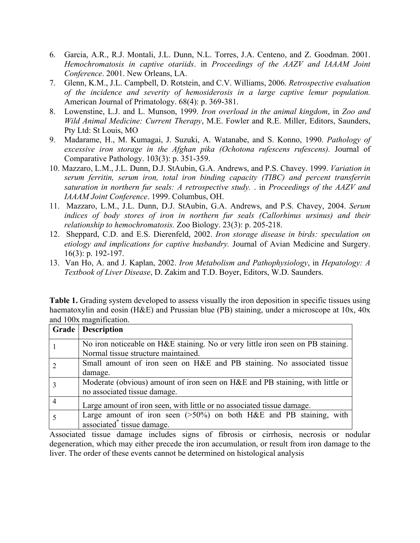- 6. Garcia, A.R., R.J. Montali, J.L. Dunn, N.L. Torres, J.A. Centeno, and Z. Goodman. 2001. *Hemochromatosis in captive otariids*. in *Proceedings of the AAZV and IAAAM Joint Conference*. 2001. New Orleans, LA.
- 7. Glenn, K.M., J.L. Campbell, D. Rotstein, and C.V. Williams, 2006. *Retrospective evaluation of the incidence and severity of hemosiderosis in a large captive lemur population.* American Journal of Primatology. 68(4): p. 369-381.
- 8. Lowenstine, L.J. and L. Munson, 1999. *Iron overload in the animal kingdom*, in *Zoo and Wild Animal Medicine: Current Therapy*, M.E. Fowler and R.E. Miller, Editors, Saunders, Pty Ltd: St Louis, MO
- 9. Madarame, H., M. Kumagai, J. Suzuki, A. Watanabe, and S. Konno, 1990. *Pathology of excessive iron storage in the Afghan pika (Ochotona rufescens rufescens).* Journal of Comparative Pathology. 103(3): p. 351-359.
- 10. Mazzaro, L.M., J.L. Dunn, D.J. StAubin, G.A. Andrews, and P.S. Chavey. 1999. *Variation in serum ferritin, serum iron, total iron binding capacity (TIBC) and percent transferrin saturation in northern fur seals: A retrospective study.* . in *Proceedings of the AAZV and IAAAM Joint Conference*. 1999. Columbus, OH.
- 11. Mazzaro, L.M., J.L. Dunn, D.J. StAubin, G.A. Andrews, and P.S. Chavey, 2004. *Serum indices of body stores of iron in northern fur seals (Callorhinus ursinus) and their relationship to hemochromatosis.* Zoo Biology. 23(3): p. 205-218.
- 12. Sheppard, C.D. and E.S. Dierenfeld, 2002. *Iron storage disease in birds: speculation on etiology and implications for captive husbandry.* Journal of Avian Medicine and Surgery. 16(3): p. 192-197.
- 13. Van Ho, A. and J. Kaplan, 2002. *Iron Metabolism and Pathophysiology*, in *Hepatology: A Textbook of Liver Disease*, D. Zakim and T.D. Boyer, Editors, W.D. Saunders.

**Table 1.** Grading system developed to assess visually the iron deposition in specific tissues using haematoxylin and eosin (H&E) and Prussian blue (PB) staining, under a microscope at 10x, 40x and 100x magnification.

|                | <b>Grade</b>   Description                                                      |  |  |  |  |
|----------------|---------------------------------------------------------------------------------|--|--|--|--|
|                | No iron noticeable on H&E staining. No or very little iron seen on PB staining. |  |  |  |  |
|                | Normal tissue structure maintained.                                             |  |  |  |  |
|                | Small amount of iron seen on H&E and PB staining. No associated tissue          |  |  |  |  |
|                | damage.                                                                         |  |  |  |  |
| 3              | Moderate (obvious) amount of iron seen on H&E and PB staining, with little or   |  |  |  |  |
|                | no associated tissue damage.                                                    |  |  |  |  |
| $\overline{4}$ | Large amount of iron seen, with little or no associated tissue damage.          |  |  |  |  |
|                | Large amount of iron seen $(>50\%)$ on both H&E and PB staining, with           |  |  |  |  |
|                | associated tissue damage.                                                       |  |  |  |  |

Associated tissue damage includes signs of fibrosis or cirrhosis, necrosis or nodular degeneration, which may either precede the iron accumulation, or result from iron damage to the liver. The order of these events cannot be determined on histological analysis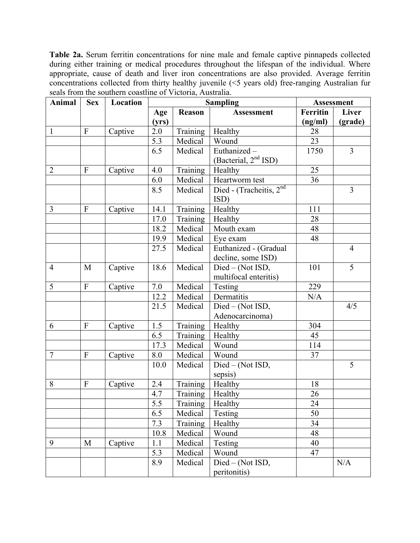**Table 2a.** Serum ferritin concentrations for nine male and female captive pinnapeds collected during either training or medical procedures throughout the lifespan of the individual. Where appropriate, cause of death and liver iron concentrations are also provided. Average ferritin concentrations collected from thirty healthy juvenile (<5 years old) free-ranging Australian fur seals from the southern coastline of Victoria, Australia.

| <b>Animal</b>  | <b>Sex</b>       | Location | <b>Sampling</b>  |               |                                  | <b>Assessment</b> |                |
|----------------|------------------|----------|------------------|---------------|----------------------------------|-------------------|----------------|
|                |                  |          | Age              | <b>Reason</b> | <b>Assessment</b>                | <b>Ferritin</b>   | Liver          |
|                |                  |          | (yrs)            |               |                                  | (ng/ml)           | (grade)        |
| $\mathbf{1}$   | $\mathbf{F}$     | Captive  | 2.0              | Training      | Healthy                          | 28                |                |
|                |                  |          | $\overline{5.3}$ | Medical       | Wound                            | 23                |                |
|                |                  |          | 6.5              | Medical       | Euthanized-                      | 1750              | $\overline{3}$ |
|                |                  |          |                  |               | (Bacterial, 2 <sup>nd</sup> ISD) |                   |                |
| $\overline{2}$ | $\mathbf{F}$     | Captive  | 4.0              | Training      | Healthy                          | 25                |                |
|                |                  |          | 6.0              | Medical       | Heartworm test                   | 36                |                |
|                |                  |          | 8.5              | Medical       | Died - (Tracheitis, 2nd          |                   | 3              |
|                |                  |          |                  |               | ISD)                             |                   |                |
| $\overline{3}$ | ${\bf F}$        | Captive  | 14.1             | Training      | Healthy                          | 111               |                |
|                |                  |          | 17.0             | Training      | Healthy                          | 28                |                |
|                |                  |          | 18.2             | Medical       | Mouth exam                       | 48                |                |
|                |                  |          | 19.9             | Medical       | Eye exam                         | 48                |                |
|                |                  |          | 27.5             | Medical       | Euthanized - (Gradual            |                   | $\overline{4}$ |
|                |                  |          |                  |               | decline, some ISD)               |                   |                |
| $\overline{4}$ | M                | Captive  | 18.6             | Medical       | Died - (Not ISD,                 | 101               | 5              |
|                |                  |          |                  |               | multifocal enteritis)            |                   |                |
| 5              | ${\bf F}$        | Captive  | 7.0              | Medical       | Testing                          | 229               |                |
|                |                  |          | 12.2             | Medical       | Dermatitis                       | N/A               |                |
|                |                  |          | 21.5             | Medical       | Died - (Not ISD,                 |                   | 4/5            |
|                |                  |          |                  |               | Adenocarcinoma)                  |                   |                |
| 6              | $\boldsymbol{F}$ | Captive  | 1.5              | Training      | Healthy                          | 304               |                |
|                |                  |          | 6.5              | Training      | Healthy                          | 45                |                |
|                |                  |          | 17.3             | Medical       | Wound                            | 114               |                |
| $\overline{7}$ | $\mathbf{F}$     | Captive  | 8.0              | Medical       | Wound                            | 37                |                |
|                |                  |          | 10.0             | Medical       | Died - (Not ISD,                 |                   | 5              |
|                |                  |          |                  |               | sepsis)                          |                   |                |
| 8              | $\mathbf{F}$     | Captive  | 2.4              | Training      | Healthy                          | 18                |                |
|                |                  |          | 4.7              | Training      | Healthy                          | 26                |                |
|                |                  |          | 5.5              | Training      | <b>Healthy</b>                   | 24                |                |
|                |                  |          | 6.5              | Medical       | Testing                          | 50                |                |
|                |                  |          | 7.3              | Training      | Healthy                          | 34                |                |
|                |                  |          | 10.8             | Medical       | Wound                            | 48                |                |
| 9              | M                | Captive  | 1.1              | Medical       | Testing                          | 40                |                |
|                |                  |          | 5.3              | Medical       | Wound                            | 47                |                |
|                |                  |          | 8.9              | Medical       | Died - (Not ISD,                 |                   | N/A            |
|                |                  |          |                  |               | peritonitis)                     |                   |                |